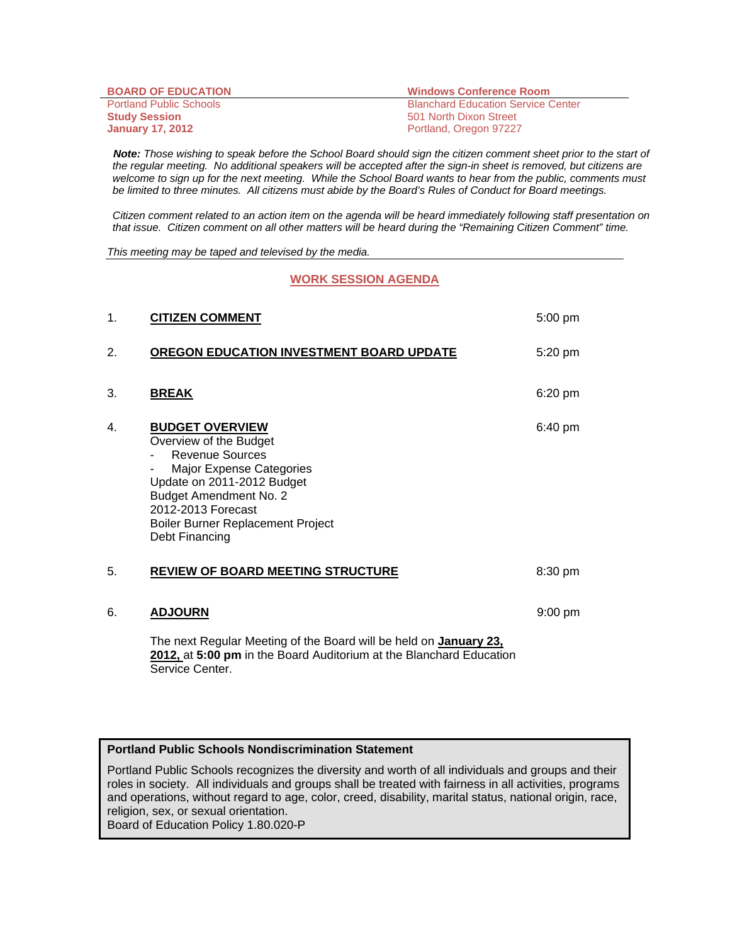| <b>BOARD OF EDUCATION</b>      | <b>Windows Conference Room</b>            |
|--------------------------------|-------------------------------------------|
| <b>Portland Public Schools</b> | <b>Blanchard Education Service Center</b> |
| <b>Study Session</b>           | 501 North Dixon Street                    |
| <b>January 17, 2012</b>        | Portland, Oregon 97227                    |

 *Note: Those wishing to speak before the School Board should sign the citizen comment sheet prior to the start of the regular meeting. No additional speakers will be accepted after the sign-in sheet is removed, but citizens are*  welcome to sign up for the next meeting. While the School Board wants to hear from the public, comments must *be limited to three minutes. All citizens must abide by the Board's Rules of Conduct for Board meetings.* 

 *Citizen comment related to an action item on the agenda will be heard immediately following staff presentation on that issue. Citizen comment on all other matters will be heard during the "Remaining Citizen Comment" time.* 

*This meeting may be taped and televised by the media.* 

**WORK SESSION AGENDA** 

| 1. | <b>CITIZEN COMMENT</b>                                                                                                                                                                                                                             | 5:00 pm   |
|----|----------------------------------------------------------------------------------------------------------------------------------------------------------------------------------------------------------------------------------------------------|-----------|
| 2. | OREGON EDUCATION INVESTMENT BOARD UPDATE                                                                                                                                                                                                           | 5:20 pm   |
| 3. | <b>BREAK</b>                                                                                                                                                                                                                                       | 6:20 pm   |
| 4. | <b>BUDGET OVERVIEW</b><br>Overview of the Budget<br><b>Revenue Sources</b><br>Major Expense Categories<br>Update on 2011-2012 Budget<br><b>Budget Amendment No. 2</b><br>2012-2013 Forecast<br>Boiler Burner Replacement Project<br>Debt Financing | 6:40 pm   |
| 5. | <b>REVIEW OF BOARD MEETING STRUCTURE</b>                                                                                                                                                                                                           | 8:30 pm   |
| 6. | <b>ADJOURN</b>                                                                                                                                                                                                                                     | $9:00$ pm |
|    | The next Regular Meeting of the Board will be held on January 23,<br>2012, at 5:00 pm in the Board Auditorium at the Blanchard Education<br>Service Center.                                                                                        |           |

## **Portland Public Schools Nondiscrimination Statement**

Portland Public Schools recognizes the diversity and worth of all individuals and groups and their roles in society. All individuals and groups shall be treated with fairness in all activities, programs and operations, without regard to age, color, creed, disability, marital status, national origin, race, religion, sex, or sexual orientation.

Board of Education Policy 1.80.020-P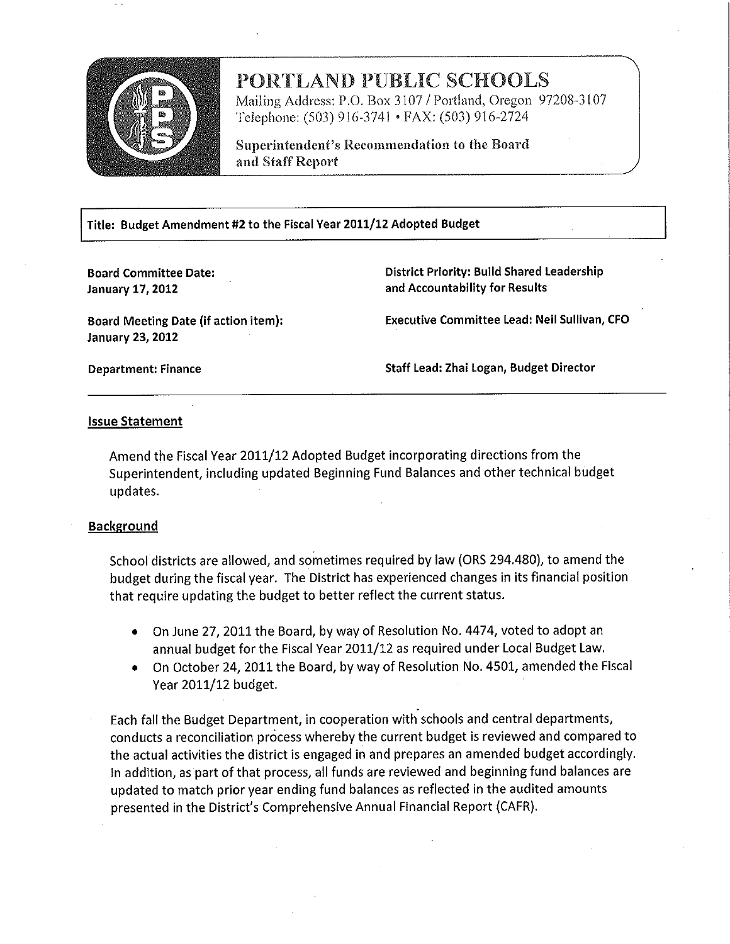

# PORTLAND PUBLIC SCHOOLS

Mailing Address: P.O. Box 3107 / Portland, Oregon 97208-3107 Telephone: (503) 916-3741 • FAX: (503) 916-2724

Superintendent's Recommendation to the Board and Staff Report

Title: Budget Amendment #2 to the Fiscal Year 2011/12 Adopted Budget

**Board Committee Date: January 17, 2012** 

**District Priority: Build Shared Leadership** and Accountability for Results

**Board Meeting Date (if action item): January 23, 2012** 

**Executive Committee Lead: Neil Sullivan, CFO** 

**Department: Finance** 

Staff Lead: Zhai Logan, Budget Director

## **Issue Statement**

Amend the Fiscal Year 2011/12 Adopted Budget incorporating directions from the Superintendent, including updated Beginning Fund Balances and other technical budget updates.

## **Background**

School districts are allowed, and sometimes required by law (ORS 294.480), to amend the budget during the fiscal year. The District has experienced changes in its financial position that require updating the budget to better reflect the current status.

- On June 27, 2011 the Board, by way of Resolution No. 4474, voted to adopt an annual budget for the Fiscal Year 2011/12 as required under Local Budget Law.
- On October 24, 2011 the Board, by way of Resolution No. 4501, amended the Fiscal Year 2011/12 budget.

Each fall the Budget Department, in cooperation with schools and central departments, conducts a reconciliation process whereby the current budget is reviewed and compared to the actual activities the district is engaged in and prepares an amended budget accordingly. In addition, as part of that process, all funds are reviewed and beginning fund balances are updated to match prior year ending fund balances as reflected in the audited amounts presented in the District's Comprehensive Annual Financial Report (CAFR).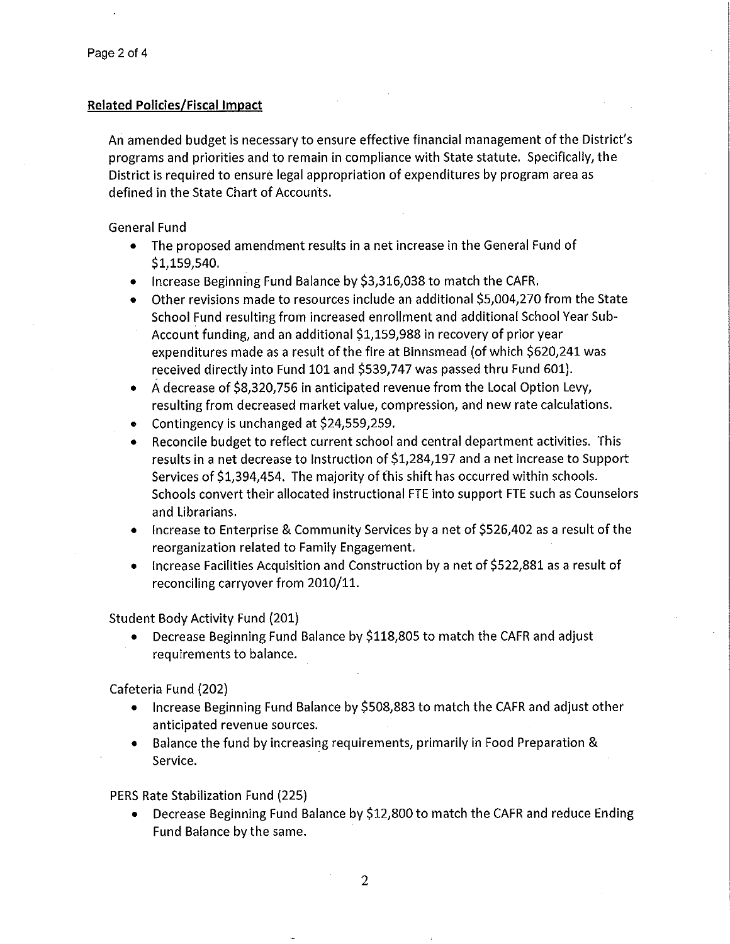## **Related Policies/Fiscal Impact**

An amended budget is necessary to ensure effective financial management of the District's programs and priorities and to remain in compliance with State statute. Specifically, the District is required to ensure legal appropriation of expenditures by program area as defined in the State Chart of Accounts.

**General Fund** 

- The proposed amendment results in a net increase in the General Fund of  $$1,159,540.$
- Increase Beginning Fund Balance by \$3,316,038 to match the CAFR.
- Other revisions made to resources include an additional \$5,004,270 from the State School Fund resulting from increased enrollment and additional School Year Sub-Account funding, and an additional \$1,159,988 in recovery of prior year expenditures made as a result of the fire at Binnsmead (of which \$620,241 was received directly into Fund 101 and \$539,747 was passed thru Fund 601).
- A decrease of \$8,320,756 in anticipated revenue from the Local Option Levy, resulting from decreased market value, compression, and new rate calculations.
- Contingency is unchanged at \$24,559,259.
- Reconcile budget to reflect current school and central department activities. This results in a net decrease to Instruction of \$1,284,197 and a net increase to Support Services of \$1,394,454. The majority of this shift has occurred within schools. Schools convert their allocated instructional FTE into support FTE such as Counselors and Librarians.
- Increase to Enterprise & Community Services by a net of \$526,402 as a result of the reorganization related to Family Engagement.
- Increase Facilities Acquisition and Construction by a net of \$522,881 as a result of reconciling carryover from 2010/11.

**Student Body Activity Fund (201)** 

Decrease Beginning Fund Balance by \$118,805 to match the CAFR and adjust requirements to balance.

Cafeteria Fund (202)

- Increase Beginning Fund Balance by \$508,883 to match the CAFR and adjust other anticipated revenue sources.
- Balance the fund by increasing requirements, primarily in Food Preparation & Service.

PERS Rate Stabilization Fund (225)

Decrease Beginning Fund Balance by \$12,800 to match the CAFR and reduce Ending  $\bullet$ Fund Balance by the same.

 $\overline{2}$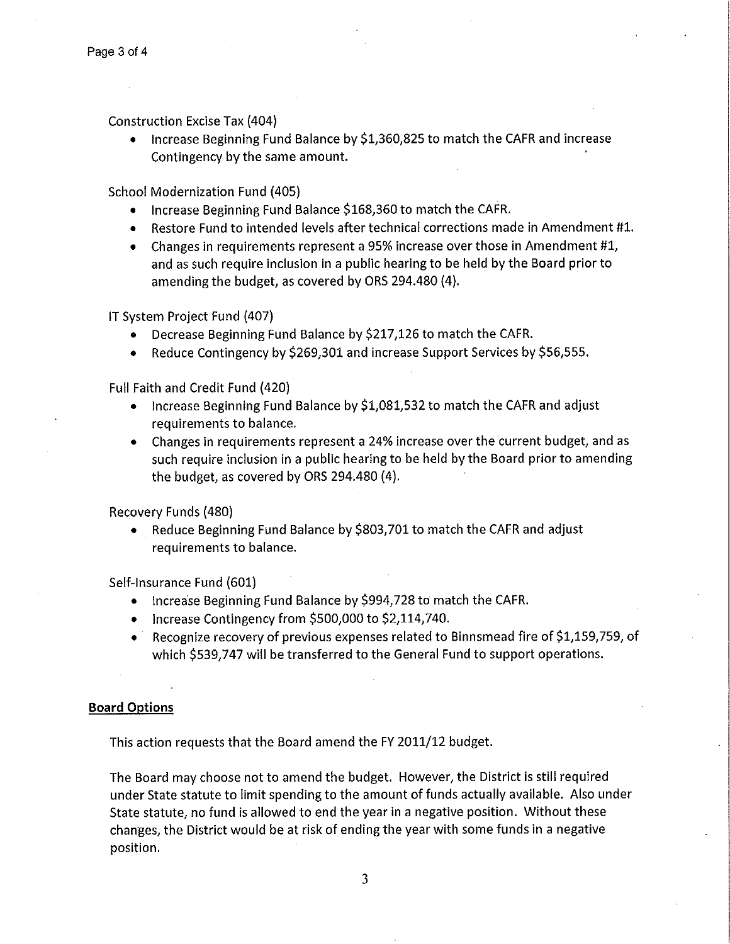**Construction Excise Tax (404)** 

• Increase Beginning Fund Balance by \$1,360,825 to match the CAFR and increase Contingency by the same amount.

**School Modernization Fund (405)** 

- Increase Beginning Fund Balance \$168,360 to match the CAFR.
- Restore Fund to intended levels after technical corrections made in Amendment #1.
- Changes in requirements represent a 95% increase over those in Amendment #1. and as such require inclusion in a public hearing to be held by the Board prior to amending the budget, as covered by ORS 294.480 (4).

IT System Project Fund (407)

- Decrease Beginning Fund Balance by \$217,126 to match the CAFR.
- Reduce Contingency by \$269,301 and increase Support Services by \$56,555.

Full Faith and Credit Fund (420)

- Increase Beginning Fund Balance by \$1,081,532 to match the CAFR and adjust requirements to balance.
- Changes in requirements represent a 24% increase over the current budget, and as such require inclusion in a public hearing to be held by the Board prior to amending the budget, as covered by ORS 294.480 (4).

Recovery Funds (480)

Reduce Beginning Fund Balance by \$803,701 to match the CAFR and adjust  $\bullet$ requirements to balance.

Self-Insurance Fund (601)

- Increase Beginning Fund Balance by \$994,728 to match the CAFR.
- Increase Contingency from \$500,000 to \$2,114,740.
- Recognize recovery of previous expenses related to Binnsmead fire of \$1,159,759, of which \$539,747 will be transferred to the General Fund to support operations.

## **Board Options**

This action requests that the Board amend the FY 2011/12 budget.

The Board may choose not to amend the budget. However, the District is still required under State statute to limit spending to the amount of funds actually available. Also under State statute, no fund is allowed to end the year in a negative position. Without these changes, the District would be at risk of ending the year with some funds in a negative position.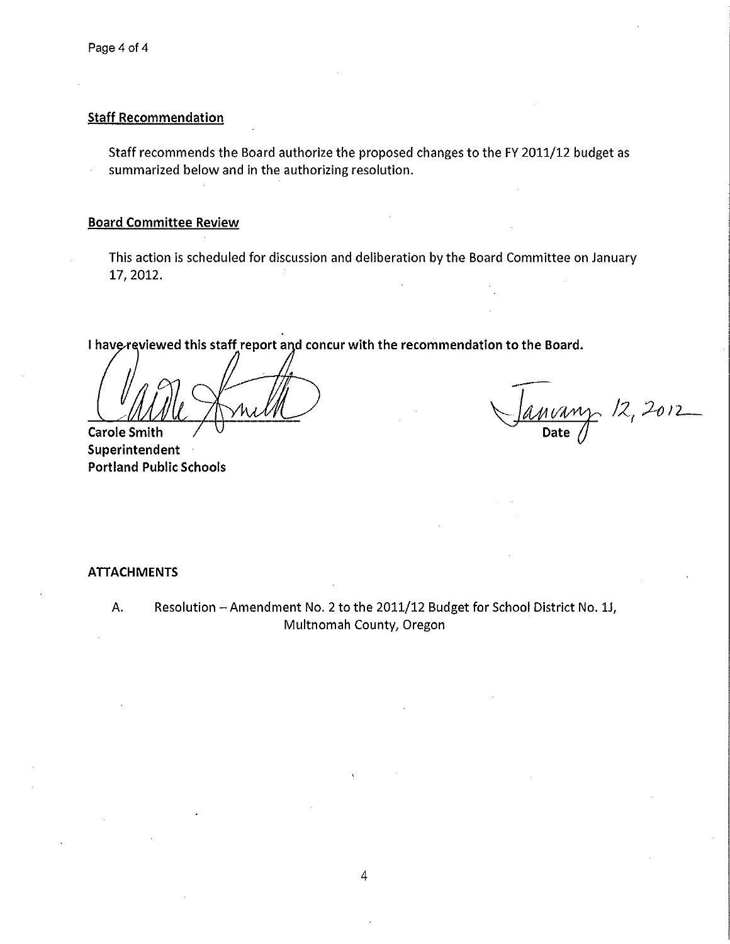$\hat{\mathcal{L}}$ 

## **Staff Recommendation**

Staff recommends the Board authorize the proposed changes to the FY 2011/12 budget as summarized below and in the authorizing resolution.

## **Board Committee Review**

This action is scheduled for discussion and deliberation by the Board Committee on January 17, 2012.

I have reviewed this staff report and concur with the recommendation to the Board.

**Carole Smith** 

Superintendent **Portland Public Schools** 

 $\frac{M V A W \gamma}{\text{Date}}$  /2, 2012

## **ATTACHMENTS**

Resolution - Amendment No. 2 to the 2011/12 Budget for School District No. 1J, A. Multnomah County, Oregon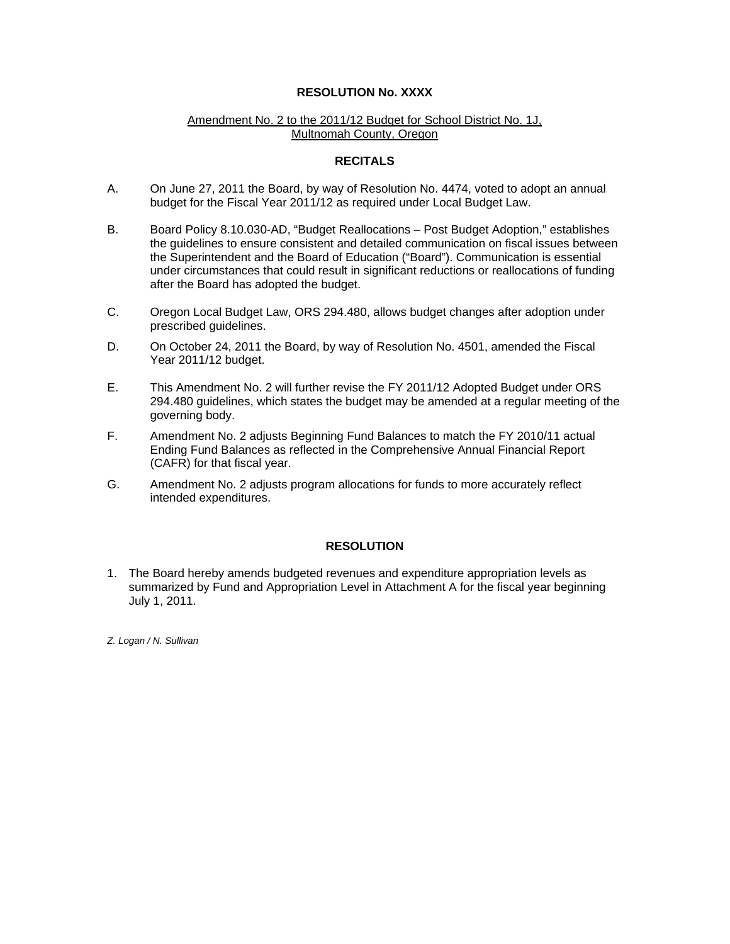## **RESOLUTION No. XXXX**

## Amendment No. 2 to the 2011/12 Budget for School District No. 1J, Multnomah County, Oregon

## **RECITALS**

- A. On June 27, 2011 the Board, by way of Resolution No. 4474, voted to adopt an annual budget for the Fiscal Year 2011/12 as required under Local Budget Law.
- B. Board Policy 8.10.030-AD, "Budget Reallocations Post Budget Adoption," establishes the guidelines to ensure consistent and detailed communication on fiscal issues between the Superintendent and the Board of Education ("Board"). Communication is essential under circumstances that could result in significant reductions or reallocations of funding after the Board has adopted the budget.
- C. Oregon Local Budget Law, ORS 294.480, allows budget changes after adoption under prescribed guidelines.
- D. On October 24, 2011 the Board, by way of Resolution No. 4501, amended the Fiscal Year 2011/12 budget.
- E. This Amendment No. 2 will further revise the FY 2011/12 Adopted Budget under ORS 294.480 guidelines, which states the budget may be amended at a regular meeting of the governing body.
- F. Amendment No. 2 adjusts Beginning Fund Balances to match the FY 2010/11 actual Ending Fund Balances as reflected in the Comprehensive Annual Financial Report (CAFR) for that fiscal year.
- G. Amendment No. 2 adjusts program allocations for funds to more accurately reflect intended expenditures.

## **RESOLUTION**

1. The Board hereby amends budgeted revenues and expenditure appropriation levels as summarized by Fund and Appropriation Level in Attachment A for the fiscal year beginning July 1, 2011.

*Z. Logan / N. Sullivan*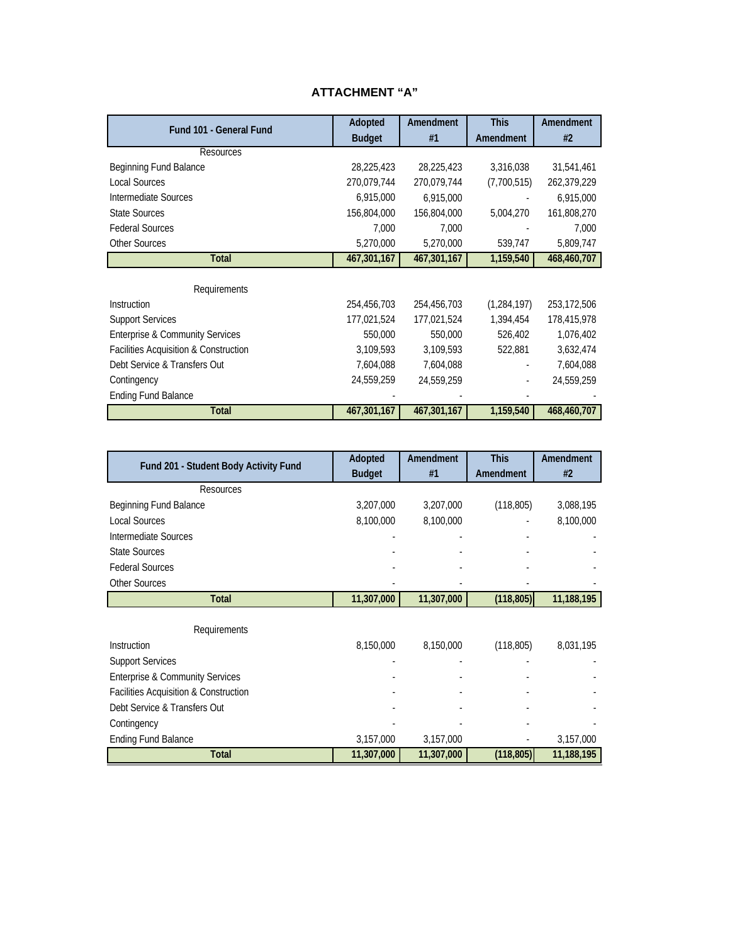## **ATTACHMENT "A"**

| Fund 101 - General Fund                    | Adopted       | Amendment   | <b>This</b>   | Amendment   |
|--------------------------------------------|---------------|-------------|---------------|-------------|
|                                            | <b>Budget</b> | #1          | Amendment     | #2          |
| <b>Resources</b>                           |               |             |               |             |
| Beginning Fund Balance                     | 28,225,423    | 28,225,423  | 3,316,038     | 31,541,461  |
| <b>Local Sources</b>                       | 270,079,744   | 270,079,744 | (7,700,515)   | 262,379,229 |
| Intermediate Sources                       | 6,915,000     | 6,915,000   |               | 6,915,000   |
| <b>State Sources</b>                       | 156,804,000   | 156,804,000 | 5,004,270     | 161,808,270 |
| <b>Federal Sources</b>                     | 7,000         | 7,000       |               | 7,000       |
| <b>Other Sources</b>                       | 5,270,000     | 5,270,000   | 539,747       | 5,809,747   |
| Total                                      | 467,301,167   | 467,301,167 | 1,159,540     | 468,460,707 |
|                                            |               |             |               |             |
| Requirements                               |               |             |               |             |
| Instruction                                | 254,456,703   | 254,456,703 | (1, 284, 197) | 253,172,506 |
| <b>Support Services</b>                    | 177,021,524   | 177,021,524 | 1,394,454     | 178,415,978 |
| <b>Enterprise &amp; Community Services</b> | 550,000       | 550,000     | 526,402       | 1,076,402   |
| Facilities Acquisition & Construction      | 3,109,593     | 3,109,593   | 522,881       | 3,632,474   |
| Debt Service & Transfers Out               | 7,604,088     | 7,604,088   |               | 7,604,088   |
| Contingency                                | 24,559,259    | 24,559,259  |               | 24,559,259  |
| <b>Ending Fund Balance</b>                 |               |             |               |             |
| <b>Total</b>                               | 467,301,167   | 467,301,167 | 1,159,540     | 468,460,707 |

| Fund 201 - Student Body Activity Fund      | Adopted<br><b>Budget</b> | Amendment<br>#1 | <b>This</b><br>Amendment | Amendment<br>#2 |
|--------------------------------------------|--------------------------|-----------------|--------------------------|-----------------|
| <b>Resources</b>                           |                          |                 |                          |                 |
| Beginning Fund Balance                     | 3,207,000                | 3,207,000       | (118, 805)               | 3,088,195       |
| <b>Local Sources</b>                       | 8,100,000                | 8,100,000       |                          | 8,100,000       |
| Intermediate Sources                       |                          |                 |                          |                 |
| <b>State Sources</b>                       |                          |                 |                          |                 |
| <b>Federal Sources</b>                     |                          |                 |                          |                 |
| <b>Other Sources</b>                       |                          |                 |                          |                 |
| <b>Total</b>                               | 11,307,000               | 11,307,000      | (118, 805)               | 11,188,195      |
| Requirements                               |                          |                 |                          |                 |
| Instruction                                | 8,150,000                | 8,150,000       | (118, 805)               | 8,031,195       |
| <b>Support Services</b>                    |                          |                 |                          |                 |
| <b>Enterprise &amp; Community Services</b> |                          |                 |                          |                 |
| Facilities Acquisition & Construction      |                          |                 |                          |                 |
| Debt Service & Transfers Out               |                          |                 |                          |                 |
| Contingency                                |                          |                 |                          |                 |
| <b>Ending Fund Balance</b>                 | 3,157,000                | 3,157,000       |                          | 3,157,000       |
| <b>Total</b>                               | 11,307,000               | 11,307,000      | (118, 805)               | 11,188,195      |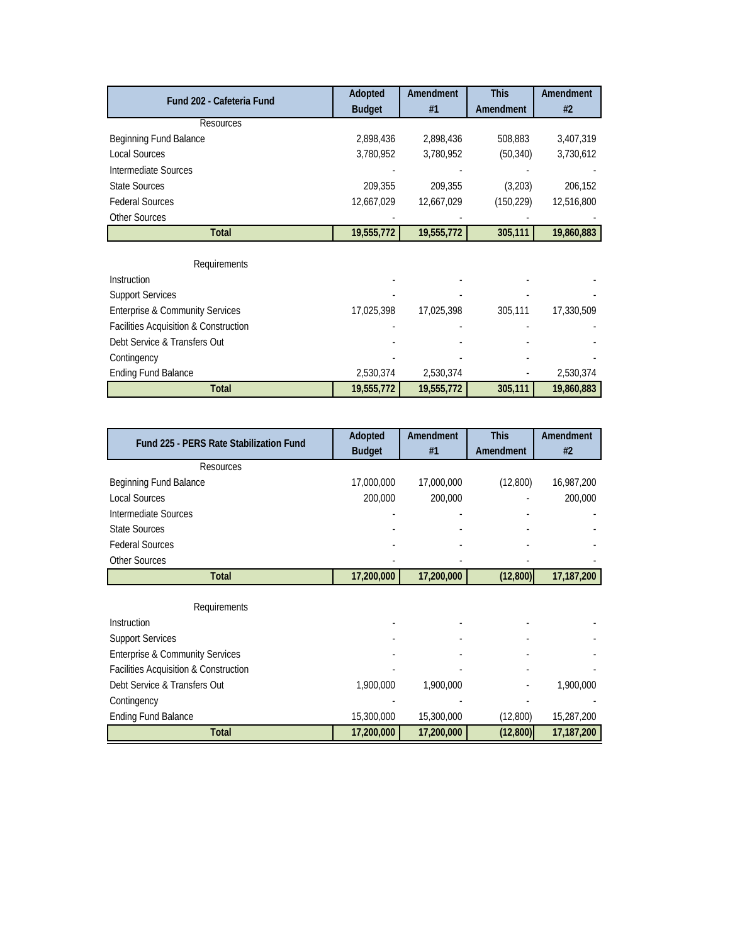| Fund 202 - Cafeteria Fund                  | Adopted       | Amendment  | <b>This</b> | Amendment  |
|--------------------------------------------|---------------|------------|-------------|------------|
|                                            | <b>Budget</b> | #1         | Amendment   | #2         |
| Resources                                  |               |            |             |            |
| Beginning Fund Balance                     | 2,898,436     | 2,898,436  | 508,883     | 3,407,319  |
| <b>Local Sources</b>                       | 3,780,952     | 3,780,952  | (50, 340)   | 3,730,612  |
| Intermediate Sources                       |               |            |             |            |
| <b>State Sources</b>                       | 209,355       | 209,355    | (3,203)     | 206,152    |
| <b>Federal Sources</b>                     | 12,667,029    | 12,667,029 | (150, 229)  | 12,516,800 |
| Other Sources                              |               |            |             |            |
| <b>Total</b>                               | 19,555,772    | 19,555,772 | 305,111     | 19,860,883 |
|                                            |               |            |             |            |
| Requirements                               |               |            |             |            |
| Instruction                                |               |            |             |            |
| <b>Support Services</b>                    |               |            |             |            |
| <b>Enterprise &amp; Community Services</b> | 17,025,398    | 17,025,398 | 305,111     | 17,330,509 |
| Facilities Acquisition & Construction      |               |            |             |            |
| Debt Service & Transfers Out               |               |            |             |            |
| Contingency                                |               |            |             |            |
| <b>Ending Fund Balance</b>                 | 2,530,374     | 2,530,374  |             | 2,530,374  |
| <b>Total</b>                               | 19,555,772    | 19,555,772 | 305,111     | 19,860,883 |

| Fund 225 - PERS Rate Stabilization Fund    | Adopted       | Amendment  | <b>This</b> | Amendment  |
|--------------------------------------------|---------------|------------|-------------|------------|
|                                            | <b>Budget</b> | #1         | Amendment   | #2         |
| Resources                                  |               |            |             |            |
| Beginning Fund Balance                     | 17,000,000    | 17,000,000 | (12,800)    | 16,987,200 |
| Local Sources                              | 200,000       | 200,000    |             | 200,000    |
| Intermediate Sources                       |               |            |             |            |
| <b>State Sources</b>                       |               |            |             |            |
| <b>Federal Sources</b>                     |               |            |             |            |
| <b>Other Sources</b>                       |               |            |             |            |
| <b>Total</b>                               | 17,200,000    | 17,200,000 | (12, 800)   | 17,187,200 |
|                                            |               |            |             |            |
| Requirements                               |               |            |             |            |
| Instruction                                |               |            |             |            |
| <b>Support Services</b>                    |               |            |             |            |
| <b>Enterprise &amp; Community Services</b> |               |            |             |            |
| Facilities Acquisition & Construction      |               |            |             |            |
| Debt Service & Transfers Out               | 1,900,000     | 1,900,000  |             | 1,900,000  |
| Contingency                                |               |            |             |            |
| <b>Ending Fund Balance</b>                 | 15,300,000    | 15,300,000 | (12,800)    | 15,287,200 |
| <b>Total</b>                               | 17,200,000    | 17,200,000 | (12, 800)   | 17,187,200 |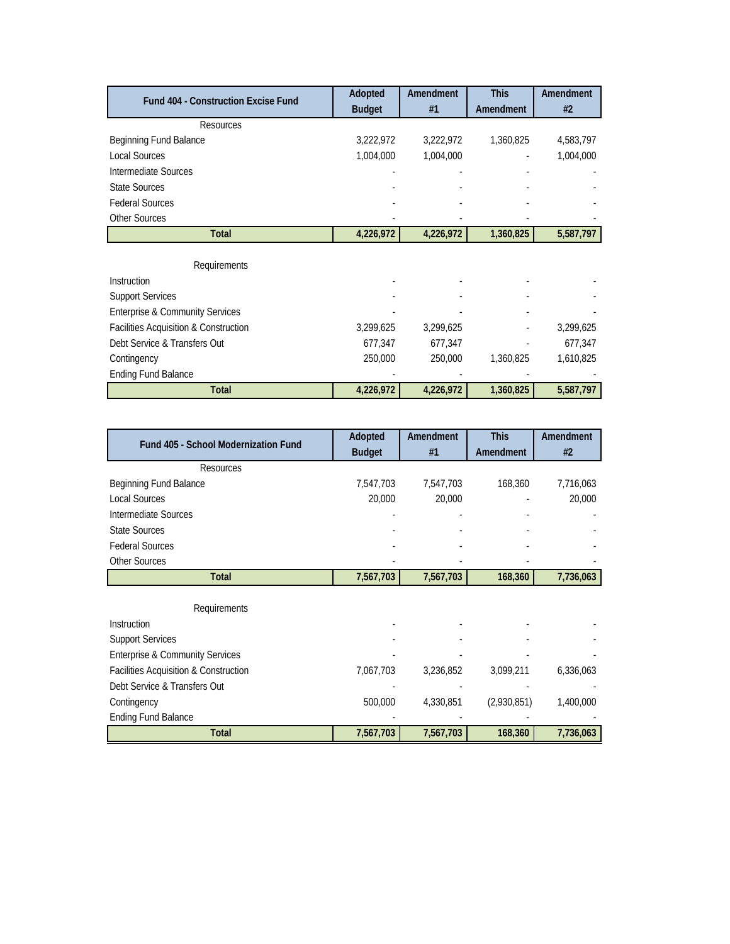| <b>Fund 404 - Construction Excise Fund</b> | Adopted       | Amendment | <b>This</b> | Amendment |
|--------------------------------------------|---------------|-----------|-------------|-----------|
|                                            | <b>Budget</b> | #1        | Amendment   | #2        |
| <b>Resources</b>                           |               |           |             |           |
| Beginning Fund Balance                     | 3,222,972     | 3,222,972 | 1,360,825   | 4,583,797 |
| <b>Local Sources</b>                       | 1,004,000     | 1,004,000 |             | 1,004,000 |
| Intermediate Sources                       |               |           |             |           |
| <b>State Sources</b>                       |               |           |             |           |
| <b>Federal Sources</b>                     |               |           |             |           |
| <b>Other Sources</b>                       |               |           |             |           |
| <b>Total</b>                               | 4,226,972     | 4,226,972 | 1,360,825   | 5,587,797 |
|                                            |               |           |             |           |
| Requirements                               |               |           |             |           |
| Instruction                                |               |           |             |           |
| <b>Support Services</b>                    |               |           |             |           |
| <b>Enterprise &amp; Community Services</b> |               |           |             |           |
| Facilities Acquisition & Construction      | 3,299,625     | 3,299,625 |             | 3,299,625 |
| Debt Service & Transfers Out               | 677,347       | 677,347   |             | 677,347   |
| Contingency                                | 250,000       | 250,000   | 1,360,825   | 1,610,825 |
| <b>Ending Fund Balance</b>                 |               |           |             |           |
| <b>Total</b>                               | 4,226,972     | 4,226,972 | 1,360,825   | 5,587,797 |

| Fund 405 - School Modernization Fund       | Adopted<br><b>Budget</b> | Amendment<br>#1 | <b>This</b><br>Amendment | Amendment<br>#2 |
|--------------------------------------------|--------------------------|-----------------|--------------------------|-----------------|
| <b>Resources</b>                           |                          |                 |                          |                 |
| Beginning Fund Balance                     | 7,547,703                | 7,547,703       | 168,360                  | 7,716,063       |
| <b>Local Sources</b>                       | 20,000                   | 20,000          |                          | 20,000          |
| Intermediate Sources                       |                          |                 |                          |                 |
| <b>State Sources</b>                       |                          |                 |                          |                 |
| <b>Federal Sources</b>                     |                          |                 |                          |                 |
| <b>Other Sources</b>                       |                          |                 |                          |                 |
| <b>Total</b>                               | 7,567,703                | 7,567,703       | 168,360                  | 7,736,063       |
| Requirements                               |                          |                 |                          |                 |
| Instruction                                |                          |                 |                          |                 |
| <b>Support Services</b>                    |                          |                 |                          |                 |
| <b>Enterprise &amp; Community Services</b> |                          |                 |                          |                 |
| Facilities Acquisition & Construction      | 7,067,703                | 3,236,852       | 3,099,211                | 6,336,063       |
| Debt Service & Transfers Out               |                          |                 |                          |                 |
| Contingency                                | 500,000                  | 4,330,851       | (2,930,851)              | 1,400,000       |
| <b>Ending Fund Balance</b>                 |                          |                 |                          |                 |
| <b>Total</b>                               | 7,567,703                | 7,567,703       | 168,360                  | 7,736,063       |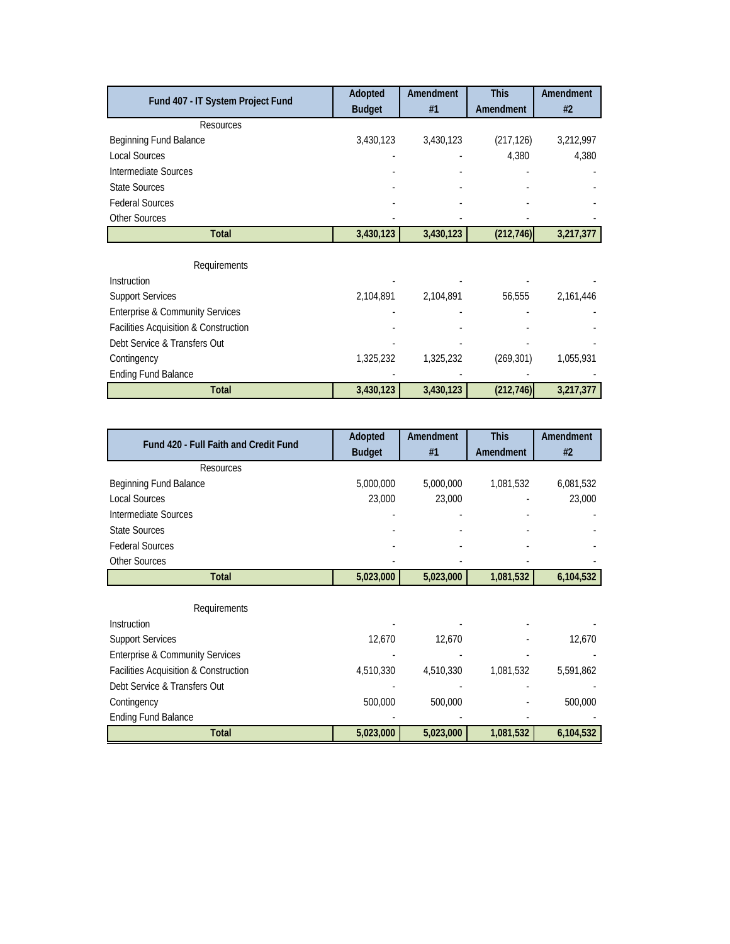| Fund 407 - IT System Project Fund          | Adopted       | Amendment | <b>This</b> | Amendment |
|--------------------------------------------|---------------|-----------|-------------|-----------|
|                                            | <b>Budget</b> | #1        | Amendment   | #2        |
| <b>Resources</b>                           |               |           |             |           |
| Beginning Fund Balance                     | 3,430,123     | 3,430,123 | (217, 126)  | 3,212,997 |
| <b>Local Sources</b>                       |               |           | 4,380       | 4,380     |
| Intermediate Sources                       |               |           |             |           |
| <b>State Sources</b>                       |               |           |             |           |
| <b>Federal Sources</b>                     |               |           |             |           |
| <b>Other Sources</b>                       |               |           |             |           |
| <b>Total</b>                               | 3,430,123     | 3,430,123 | (212, 746)  | 3,217,377 |
|                                            |               |           |             |           |
| Requirements                               |               |           |             |           |
| Instruction                                |               |           |             |           |
| <b>Support Services</b>                    | 2,104,891     | 2,104,891 | 56,555      | 2,161,446 |
| <b>Enterprise &amp; Community Services</b> |               |           |             |           |
| Facilities Acquisition & Construction      |               |           |             |           |
| Debt Service & Transfers Out               |               |           |             |           |
| Contingency                                | 1,325,232     | 1,325,232 | (269, 301)  | 1,055,931 |
| <b>Ending Fund Balance</b>                 |               |           |             |           |
| <b>Total</b>                               | 3,430,123     | 3,430,123 | (212, 746)  | 3,217,377 |

| <b>Fund 420 - Full Faith and Credit Fund</b> | Adopted       | Amendment | <b>This</b> | Amendment |
|----------------------------------------------|---------------|-----------|-------------|-----------|
|                                              | <b>Budget</b> | #1        | Amendment   | #2        |
| Resources                                    |               |           |             |           |
| Beginning Fund Balance                       | 5,000,000     | 5,000,000 | 1,081,532   | 6,081,532 |
| <b>Local Sources</b>                         | 23,000        | 23,000    |             | 23,000    |
| Intermediate Sources                         |               |           |             |           |
| <b>State Sources</b>                         |               |           |             |           |
| <b>Federal Sources</b>                       |               |           |             |           |
| <b>Other Sources</b>                         |               |           |             |           |
| <b>Total</b>                                 | 5,023,000     | 5,023,000 | 1,081,532   | 6,104,532 |
|                                              |               |           |             |           |
| Requirements                                 |               |           |             |           |
| <b>Instruction</b>                           |               |           |             |           |
| <b>Support Services</b>                      | 12,670        | 12,670    |             | 12,670    |
| <b>Enterprise &amp; Community Services</b>   |               |           |             |           |
| Facilities Acquisition & Construction        | 4,510,330     | 4,510,330 | 1,081,532   | 5,591,862 |
| Debt Service & Transfers Out                 |               |           |             |           |
| Contingency                                  | 500,000       | 500,000   |             | 500,000   |
| <b>Ending Fund Balance</b>                   |               |           |             |           |
| <b>Total</b>                                 | 5,023,000     | 5,023,000 | 1,081,532   | 6,104,532 |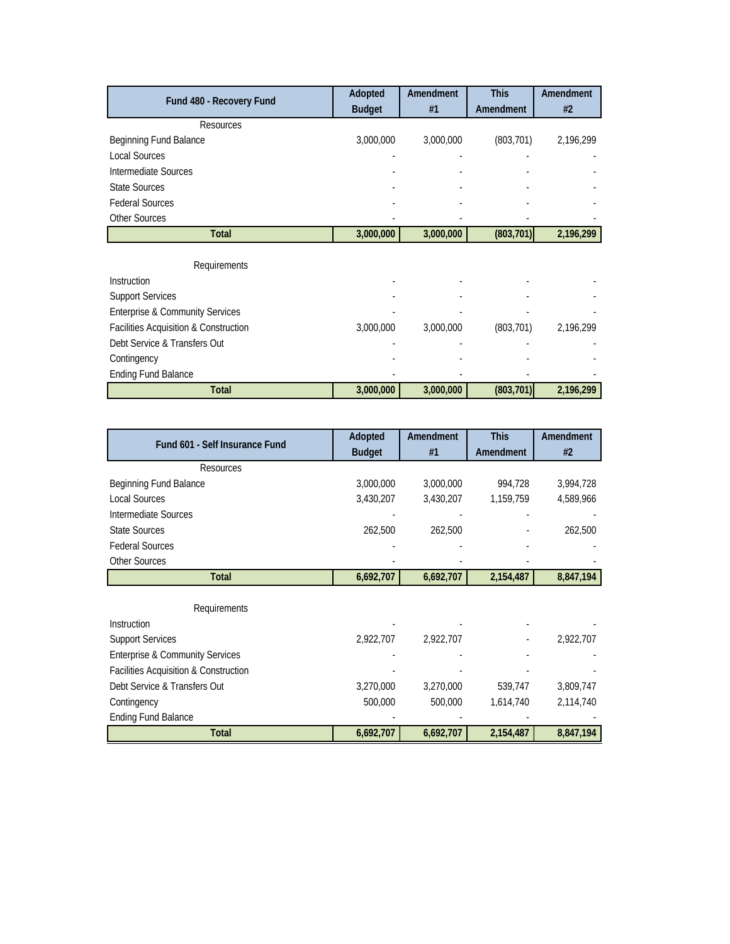| Fund 480 - Recovery Fund                   | Adopted       | Amendment | <b>This</b> | Amendment |
|--------------------------------------------|---------------|-----------|-------------|-----------|
|                                            | <b>Budget</b> | #1        | Amendment   | #2        |
| Resources                                  |               |           |             |           |
| Beginning Fund Balance                     | 3,000,000     | 3,000,000 | (803, 701)  | 2,196,299 |
| <b>Local Sources</b>                       |               |           |             |           |
| Intermediate Sources                       |               |           |             |           |
| <b>State Sources</b>                       |               |           |             |           |
| <b>Federal Sources</b>                     |               |           |             |           |
| <b>Other Sources</b>                       |               |           |             |           |
| <b>Total</b>                               | 3,000,000     | 3,000,000 | (803, 701)  | 2,196,299 |
|                                            |               |           |             |           |
| Requirements                               |               |           |             |           |
| Instruction                                |               |           |             |           |
| <b>Support Services</b>                    |               |           |             |           |
| <b>Enterprise &amp; Community Services</b> |               |           |             |           |
| Facilities Acquisition & Construction      | 3,000,000     | 3,000,000 | (803, 701)  | 2,196,299 |
| Debt Service & Transfers Out               |               |           |             |           |
| Contingency                                |               |           |             |           |
| <b>Ending Fund Balance</b>                 |               |           |             |           |
| <b>Total</b>                               | 3,000,000     | 3,000,000 | (803, 701)  | 2,196,299 |

| Fund 601 - Self Insurance Fund             | Adopted<br><b>Budget</b> | Amendment<br>#1 | <b>This</b><br>Amendment | Amendment<br>#2 |
|--------------------------------------------|--------------------------|-----------------|--------------------------|-----------------|
| Resources                                  |                          |                 |                          |                 |
| Beginning Fund Balance                     | 3,000,000                | 3,000,000       | 994,728                  | 3,994,728       |
| <b>Local Sources</b>                       | 3,430,207                | 3,430,207       | 1,159,759                | 4,589,966       |
| Intermediate Sources                       |                          |                 |                          |                 |
| <b>State Sources</b>                       | 262,500                  | 262,500         |                          | 262,500         |
| <b>Federal Sources</b>                     |                          |                 |                          |                 |
| <b>Other Sources</b>                       |                          |                 |                          |                 |
| <b>Total</b>                               | 6,692,707                | 6,692,707       | 2,154,487                | 8,847,194       |
| Requirements                               |                          |                 |                          |                 |
| <b>Instruction</b>                         |                          |                 |                          |                 |
| <b>Support Services</b>                    | 2,922,707                | 2,922,707       |                          | 2,922,707       |
| <b>Enterprise &amp; Community Services</b> |                          |                 |                          |                 |
| Facilities Acquisition & Construction      |                          |                 |                          |                 |
| Debt Service & Transfers Out               | 3,270,000                | 3,270,000       | 539,747                  | 3,809,747       |
| Contingency                                | 500,000                  | 500,000         | 1,614,740                | 2,114,740       |
| <b>Ending Fund Balance</b>                 |                          |                 |                          |                 |
| <b>Total</b>                               | 6,692,707                | 6,692,707       | 2,154,487                | 8,847,194       |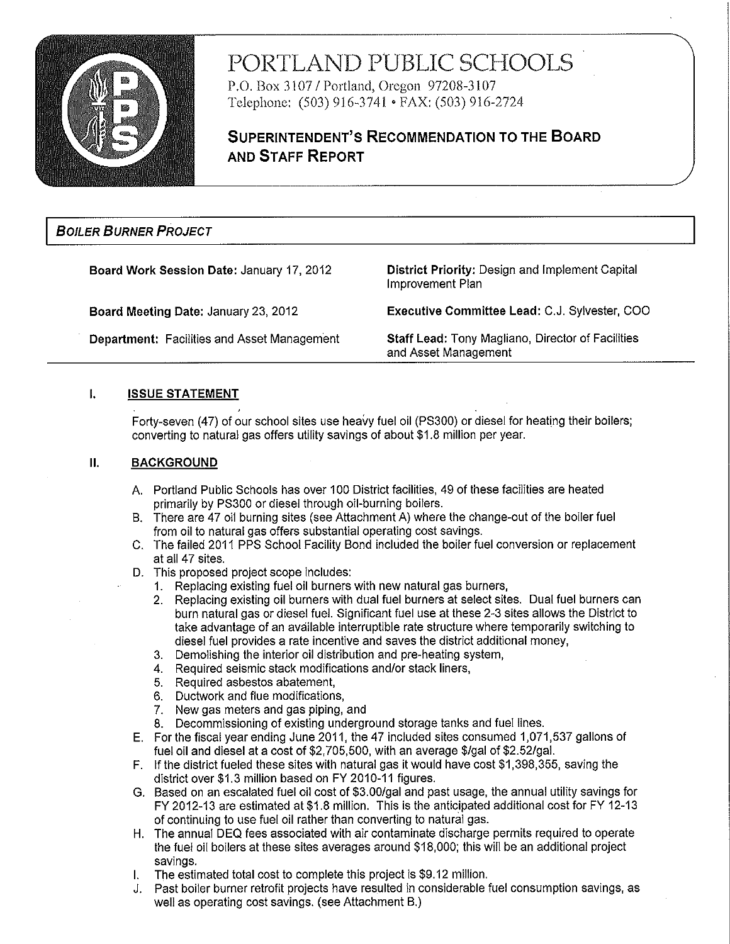

# PORTLAND PUBLIC SCHOOLS

P.O. Box 3107 / Portland, Oregon 97208-3107 Telephone: (503) 916-3741 • FAX: (503) 916-2724

## **SUPERINTENDENT'S RECOMMENDATION TO THE BOARD AND STAFF REPORT**

## **BOILER BURNER PROJECT**

Board Work Session Date: January 17, 2012

Board Meeting Date: January 23, 2012

**Department: Facilities and Asset Management** 

District Priority: Design and Implement Capital Improvement Plan

Executive Committee Lead: C.J. Sylvester, COO

Staff Lead: Tony Magliano, Director of Facilities and Asset Management

#### $\mathbf{L}$ **ISSUE STATEMENT**

Forty-seven (47) of our school sites use heavy fuel oil (PS300) or diesel for heating their boilers; converting to natural gas offers utility savings of about \$1.8 million per year.

#### $II.$ **BACKGROUND**

- A. Portland Public Schools has over 100 District facilities, 49 of these facilities are heated primarily by PS300 or diesel through oil-burning boilers.
- B. There are 47 oil burning sites (see Attachment A) where the change-out of the boiler fuel from oil to natural gas offers substantial operating cost savings.
- C. The failed 2011 PPS School Facility Bond included the boiler fuel conversion or replacement at all 47 sites.
- D. This proposed project scope includes:
	- 1. Replacing existing fuel oil burners with new natural gas burners,
	- 2. Replacing existing oil burners with dual fuel burners at select sites. Dual fuel burners can burn natural gas or diesel fuel. Significant fuel use at these 2-3 sites allows the District to take advantage of an available interruptible rate structure where temporarily switching to diesel fuel provides a rate incentive and saves the district additional money,
	- 3. Demolishing the interior oil distribution and pre-heating system,
	- 4. Required seismic stack modifications and/or stack liners,
	- 5. Required asbestos abatement,
	- 6. Ductwork and flue modifications,
	- 7. New gas meters and gas piping, and
	- 8. Decommissioning of existing underground storage tanks and fuel lines.
- E. For the fiscal year ending June 2011, the 47 included sites consumed 1,071,537 gallons of fuel oil and diesel at a cost of \$2,705,500, with an average \$/gal of \$2.52/gal.
- F. If the district fueled these sites with natural gas it would have cost \$1,398,355, saving the district over \$1.3 million based on FY 2010-11 figures.
- G. Based on an escalated fuel oil cost of \$3.00/gal and past usage, the annual utility savings for FY 2012-13 are estimated at \$1.8 million. This is the anticipated additional cost for FY 12-13 of continuing to use fuel oil rather than converting to natural gas.
- H. The annual DEQ fees associated with air contaminate discharge permits required to operate the fuel oil boilers at these sites averages around \$18,000; this will be an additional project savings.
- I. The estimated total cost to complete this project is \$9.12 million.
- J. Past boiler burner retrofit projects have resulted in considerable fuel consumption savings, as well as operating cost savings. (see Attachment B.)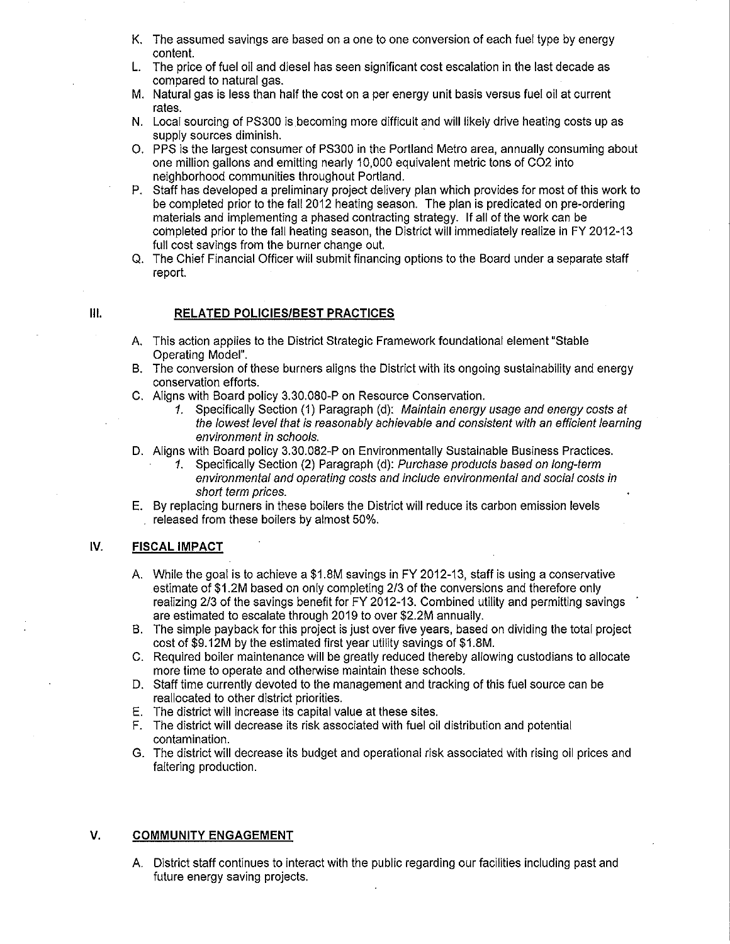- K. The assumed savings are based on a one to one conversion of each fuel type by energy content.
- L. The price of fuel oil and diesel has seen significant cost escalation in the last decade as compared to natural gas.
- M. Natural gas is less than half the cost on a per energy unit basis versus fuel oil at current rates.
- N. Local sourcing of PS300 is becoming more difficult and will likely drive heating costs up as supply sources diminish.
- O. PPS is the largest consumer of PS300 in the Portland Metro area, annually consuming about one million gallons and emitting nearly 10,000 equivalent metric tons of CO2 into neighborhood communities throughout Portland.
- P. Staff has developed a preliminary project delivery plan which provides for most of this work to be completed prior to the fall 2012 heating season. The plan is predicated on pre-ordering materials and implementing a phased contracting strategy. If all of the work can be completed prior to the fall heating season, the District will immediately realize in FY 2012-13 full cost savings from the burner change out.
- Q. The Chief Financial Officer will submit financing options to the Board under a separate staff report.

## RELATED POLICIES/BEST PRACTICES

- A. This action applies to the District Strategic Framework foundational element "Stable Operating Model".
- B. The conversion of these burners aligns the District with its ongoing sustainability and energy conservation efforts.
- C. Alians with Board policy 3.30.080-P on Resource Conservation.
	- 1. Specifically Section (1) Paragraph (d): Maintain energy usage and energy costs at the lowest level that is reasonably achievable and consistent with an efficient learning environment in schools.
- D. Aligns with Board policy 3.30.082-P on Environmentally Sustainable Business Practices.
	- 1. Specifically Section (2) Paragraph (d): Purchase products based on long-term environmental and operating costs and include environmental and social costs in short term prices.
- E. By replacing burners in these boilers the District will reduce its carbon emission levels released from these boilers by almost 50%.

#### IV. **FISCAL IMPACT**

- A. While the goal is to achieve a \$1.8M savings in FY 2012-13, staff is using a conservative estimate of \$1.2M based on only completing 2/3 of the conversions and therefore only realizing 2/3 of the savings benefit for FY 2012-13. Combined utility and permitting savings are estimated to escalate through 2019 to over \$2.2M annually.
- B. The simple payback for this project is just over five years, based on dividing the total project cost of \$9.12M by the estimated first year utility savings of \$1.8M.
- C. Required boiler maintenance will be greatly reduced thereby allowing custodians to allocate more time to operate and otherwise maintain these schools.
- D. Staff time currently devoted to the management and tracking of this fuel source can be reallocated to other district priorities.
- E. The district will increase its capital value at these sites.
- F. The district will decrease its risk associated with fuel oil distribution and potential contamination.
- G. The district will decrease its budget and operational risk associated with rising oil prices and faltering production.

#### V. **COMMUNITY ENGAGEMENT**

A. District staff continues to interact with the public regarding our facilities including past and future energy saving projects.

HL.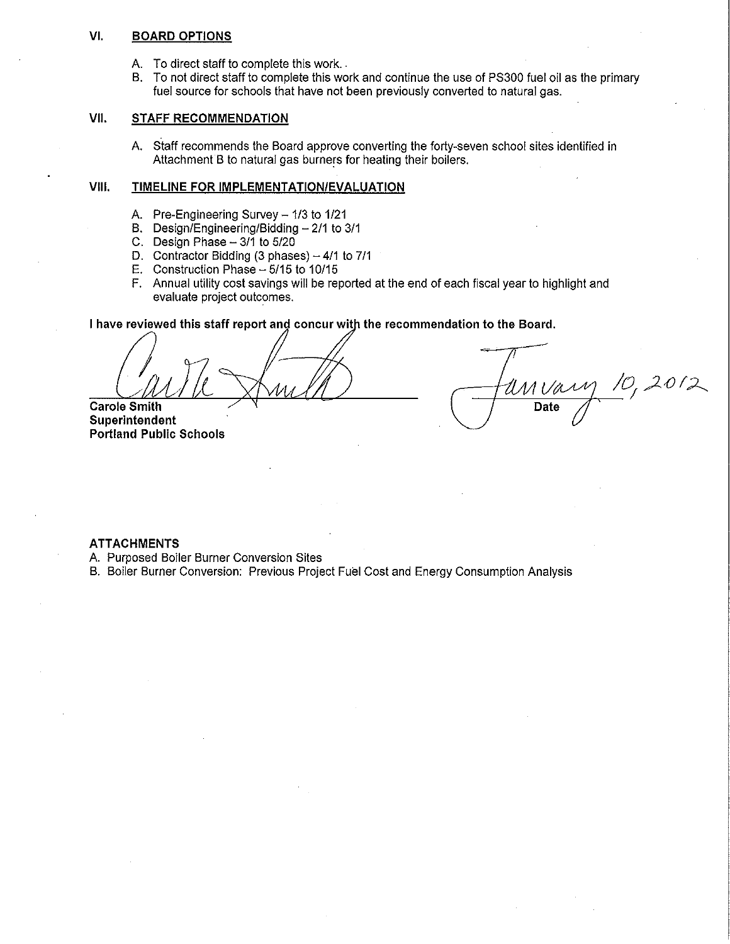#### VI. **BOARD OPTIONS**

- A. To direct staff to complete this work..
- B. To not direct staff to complete this work and continue the use of PS300 fuel oil as the primary fuel source for schools that have not been previously converted to natural gas.

#### VII. **STAFF RECOMMENDATION**

A. Staff recommends the Board approve converting the forty-seven school sites identified in Attachment B to natural gas burners for heating their boilers.

#### VIII. TIMELINE FOR IMPLEMENTATION/EVALUATION

- A. Pre-Engineering Survey 1/3 to 1/21
- B. Design/Engineering/Bidding  $-2/1$  to 3/1
- C. Design Phase  $-3/1$  to  $5/20$
- D. Contractor Bidding (3 phases)  $-4/1$  to 7/1
- E. Construction Phase  $-5/15$  to 10/15
- F. Annual utility cost savings will be reported at the end of each fiscal year to highlight and evaluate project outcomes.

## I have reviewed this staff report and concur with the recommendation to the Board.

**Carole Smith** 

Superintendent **Portland Public Schools** 

 $10,2012$ Date

### **ATTACHMENTS**

A. Purposed Boiler Burner Conversion Sites

B. Boiler Burner Conversion: Previous Project Fuel Cost and Energy Consumption Analysis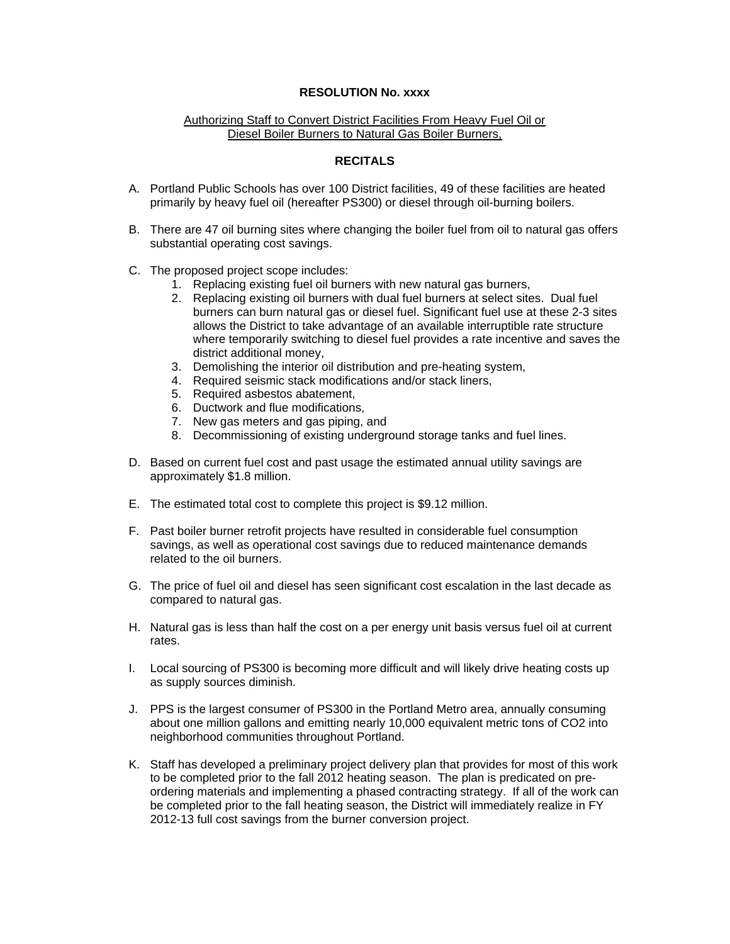## **RESOLUTION No. xxxx**

## Authorizing Staff to Convert District Facilities From Heavy Fuel Oil or Diesel Boiler Burners to Natural Gas Boiler Burners,

## **RECITALS**

- A. Portland Public Schools has over 100 District facilities, 49 of these facilities are heated primarily by heavy fuel oil (hereafter PS300) or diesel through oil-burning boilers.
- B. There are 47 oil burning sites where changing the boiler fuel from oil to natural gas offers substantial operating cost savings.
- C. The proposed project scope includes:
	- 1. Replacing existing fuel oil burners with new natural gas burners,
	- 2. Replacing existing oil burners with dual fuel burners at select sites. Dual fuel burners can burn natural gas or diesel fuel. Significant fuel use at these 2-3 sites allows the District to take advantage of an available interruptible rate structure where temporarily switching to diesel fuel provides a rate incentive and saves the district additional money,
	- 3. Demolishing the interior oil distribution and pre-heating system,
	- 4. Required seismic stack modifications and/or stack liners,
	- 5. Required asbestos abatement,
	- 6. Ductwork and flue modifications,
	- 7. New gas meters and gas piping, and
	- 8. Decommissioning of existing underground storage tanks and fuel lines.
- D. Based on current fuel cost and past usage the estimated annual utility savings are approximately \$1.8 million.
- E. The estimated total cost to complete this project is \$9.12 million.
- F. Past boiler burner retrofit projects have resulted in considerable fuel consumption savings, as well as operational cost savings due to reduced maintenance demands related to the oil burners.
- G. The price of fuel oil and diesel has seen significant cost escalation in the last decade as compared to natural gas.
- H. Natural gas is less than half the cost on a per energy unit basis versus fuel oil at current rates.
- I. Local sourcing of PS300 is becoming more difficult and will likely drive heating costs up as supply sources diminish.
- J. PPS is the largest consumer of PS300 in the Portland Metro area, annually consuming about one million gallons and emitting nearly 10,000 equivalent metric tons of CO2 into neighborhood communities throughout Portland.
- K. Staff has developed a preliminary project delivery plan that provides for most of this work to be completed prior to the fall 2012 heating season. The plan is predicated on preordering materials and implementing a phased contracting strategy. If all of the work can be completed prior to the fall heating season, the District will immediately realize in FY 2012-13 full cost savings from the burner conversion project.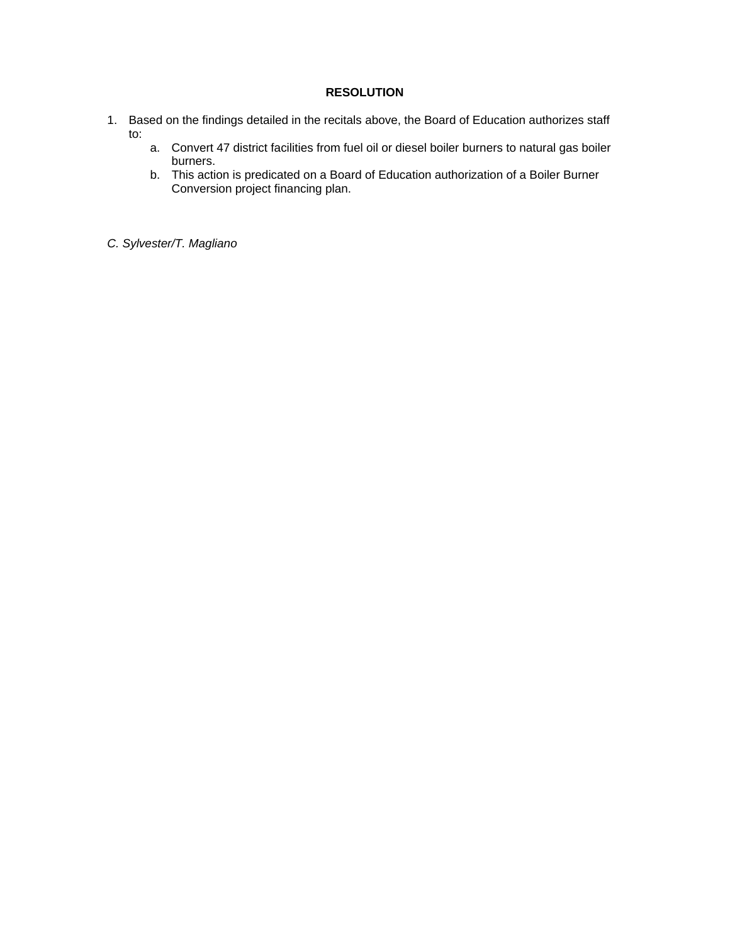## **RESOLUTION**

- 1. Based on the findings detailed in the recitals above, the Board of Education authorizes staff to:
	- a. Convert 47 district facilities from fuel oil or diesel boiler burners to natural gas boiler burners.
	- b. This action is predicated on a Board of Education authorization of a Boiler Burner Conversion project financing plan.

*C. Sylvester/T. Magliano*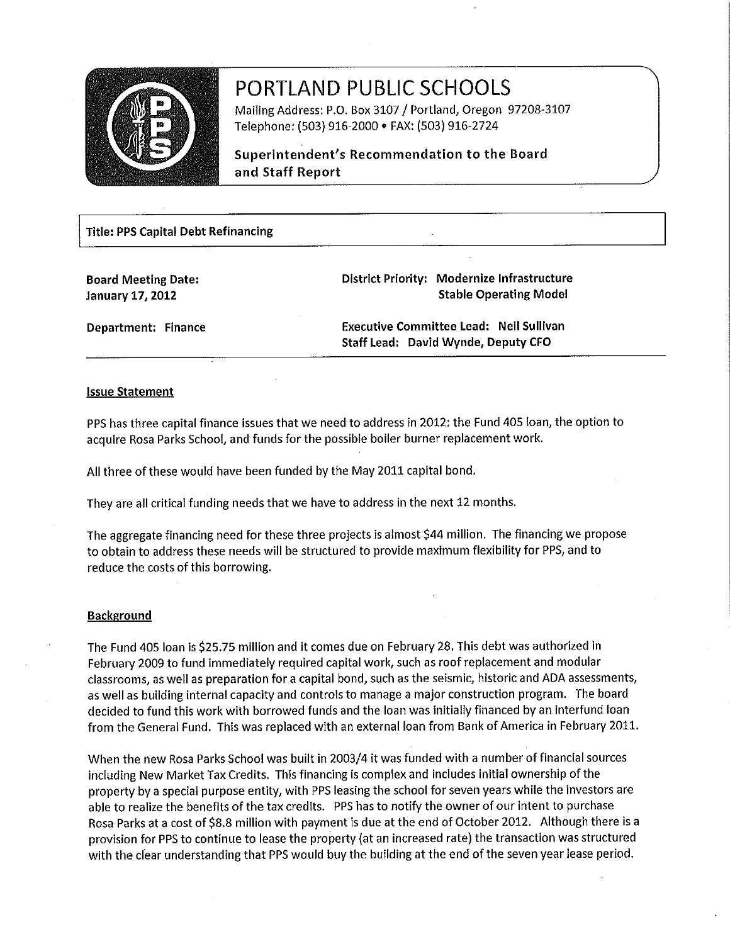

# PORTLAND PUBLIC SCHOOLS

Mailing Address: P.O. Box 3107 / Portland, Oregon 97208-3107 Telephone: (503) 916-2000 · FAX: (503) 916-2724

Superintendent's Recommendation to the Board and Staff Report

## **Title: PPS Capital Debt Refinancing**

**Board Meeting Date: January 17, 2012** 

District Priority: Modernize Infrastructure **Stable Operating Model** 

Department: Finance

**Executive Committee Lead: Neil Sullivan** Staff Lead: David Wynde, Deputy CFO

## **Issue Statement**

PPS has three capital finance issues that we need to address in 2012: the Fund 405 loan, the option to acquire Rosa Parks School, and funds for the possible boiler burner replacement work.

All three of these would have been funded by the May 2011 capital bond.

They are all critical funding needs that we have to address in the next 12 months.

The aggregate financing need for these three projects is almost \$44 million. The financing we propose to obtain to address these needs will be structured to provide maximum flexibility for PPS, and to reduce the costs of this borrowing.

## **Background**

The Fund 405 loan is \$25.75 million and it comes due on February 28. This debt was authorized in February 2009 to fund immediately required capital work, such as roof replacement and modular classrooms, as well as preparation for a capital bond, such as the seismic, historic and ADA assessments, as well as building internal capacity and controls to manage a major construction program. The board decided to fund this work with borrowed funds and the loan was initially financed by an interfund loan from the General Fund. This was replaced with an external loan from Bank of America in February 2011.

When the new Rosa Parks School was built in 2003/4 it was funded with a number of financial sources including New Market Tax Credits. This financing is complex and includes initial ownership of the property by a special purpose entity, with PPS leasing the school for seven years while the investors are able to realize the benefits of the tax credits. PPS has to notify the owner of our intent to purchase Rosa Parks at a cost of \$8.8 million with payment is due at the end of October 2012. Although there is a provision for PPS to continue to lease the property (at an increased rate) the transaction was structured with the clear understanding that PPS would buy the building at the end of the seven year lease period.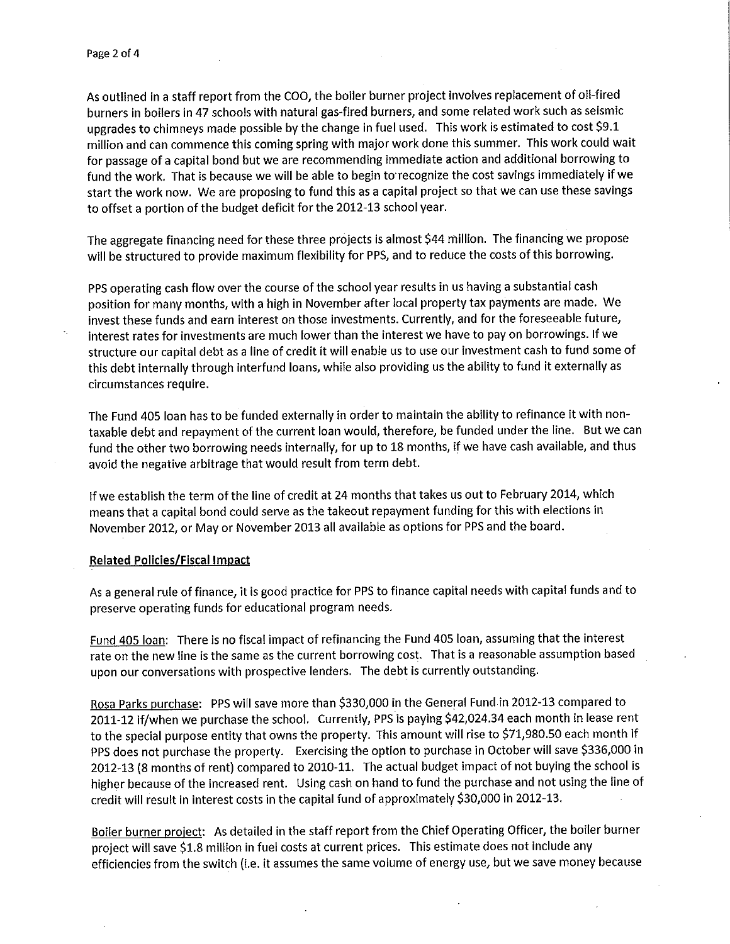As outlined in a staff report from the COO, the boiler burner project involves replacement of oil-fired burners in boilers in 47 schools with natural gas-fired burners, and some related work such as seismic upgrades to chimneys made possible by the change in fuel used. This work is estimated to cost \$9.1 million and can commence this coming spring with major work done this summer. This work could wait for passage of a capital bond but we are recommending immediate action and additional borrowing to fund the work. That is because we will be able to begin to recognize the cost savings immediately if we start the work now. We are proposing to fund this as a capital project so that we can use these savings to offset a portion of the budget deficit for the 2012-13 school year.

The aggregate financing need for these three projects is almost \$44 million. The financing we propose will be structured to provide maximum flexibility for PPS, and to reduce the costs of this borrowing.

PPS operating cash flow over the course of the school year results in us having a substantial cash position for many months, with a high in November after local property tax payments are made. We invest these funds and earn interest on those investments. Currently, and for the foreseeable future, interest rates for investments are much lower than the interest we have to pay on borrowings. If we structure our capital debt as a line of credit it will enable us to use our investment cash to fund some of this debt internally through interfund loans, while also providing us the ability to fund it externally as circumstances require.

The Fund 405 loan has to be funded externally in order to maintain the ability to refinance it with nontaxable debt and repayment of the current loan would, therefore, be funded under the line. But we can fund the other two borrowing needs internally, for up to 18 months, if we have cash available, and thus avoid the negative arbitrage that would result from term debt.

If we establish the term of the line of credit at 24 months that takes us out to February 2014, which means that a capital bond could serve as the takeout repayment funding for this with elections in November 2012, or May or November 2013 all available as options for PPS and the board.

## **Related Policies/Fiscal Impact**

As a general rule of finance, it is good practice for PPS to finance capital needs with capital funds and to preserve operating funds for educational program needs.

Fund 405 loan: There is no fiscal impact of refinancing the Fund 405 loan, assuming that the interest rate on the new line is the same as the current borrowing cost. That is a reasonable assumption based upon our conversations with prospective lenders. The debt is currently outstanding.

Rosa Parks purchase: PPS will save more than \$330,000 in the General Fund in 2012-13 compared to 2011-12 if/when we purchase the school. Currently, PPS is paying \$42,024.34 each month in lease rent to the special purpose entity that owns the property. This amount will rise to \$71,980.50 each month if PPS does not purchase the property. Exercising the option to purchase in October will save \$336,000 in 2012-13 (8 months of rent) compared to 2010-11. The actual budget impact of not buying the school is higher because of the increased rent. Using cash on hand to fund the purchase and not using the line of credit will result in interest costs in the capital fund of approximately \$30,000 in 2012-13.

Boiler burner project: As detailed in the staff report from the Chief Operating Officer, the boiler burner project will save \$1.8 million in fuel costs at current prices. This estimate does not include any efficiencies from the switch (i.e. it assumes the same volume of energy use, but we save money because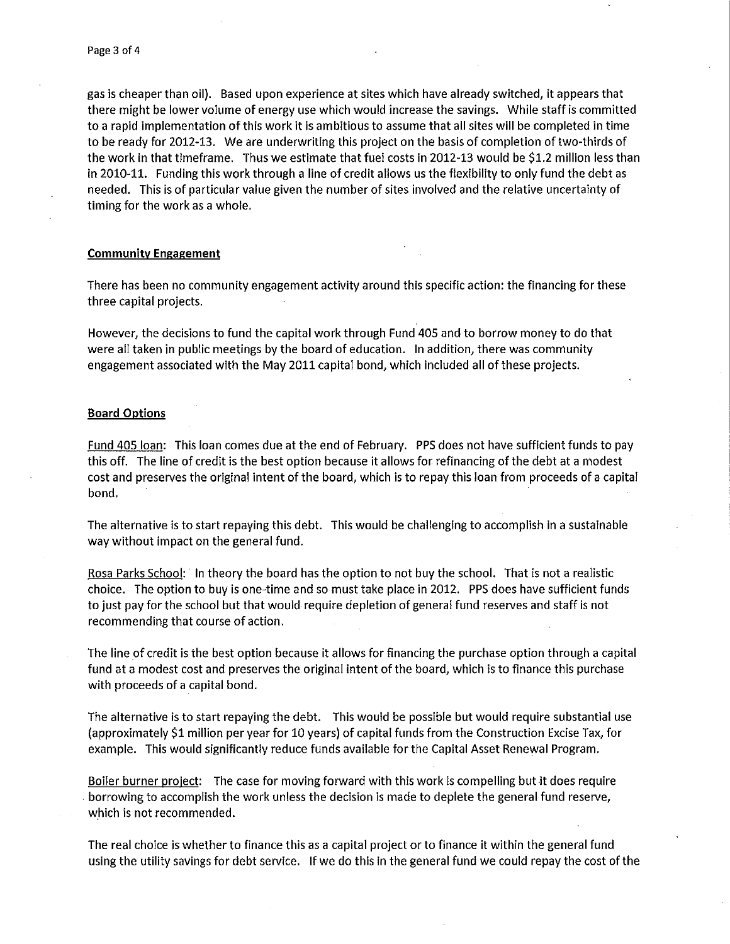gas is cheaper than oil). Based upon experience at sites which have already switched, it appears that there might be lower volume of energy use which would increase the savings. While staff is committed to a rapid implementation of this work it is ambitious to assume that all sites will be completed in time to be ready for 2012-13. We are underwriting this project on the basis of completion of two-thirds of the work in that timeframe. Thus we estimate that fuel costs in 2012-13 would be \$1.2 million less than in 2010-11. Funding this work through a line of credit allows us the flexibility to only fund the debt as needed. This is of particular value given the number of sites involved and the relative uncertainty of timing for the work as a whole.

## **Community Engagement**

There has been no community engagement activity around this specific action: the financing for these three capital projects.

However, the decisions to fund the capital work through Fund 405 and to borrow money to do that were all taken in public meetings by the board of education. In addition, there was community engagement associated with the May 2011 capital bond, which included all of these projects.

## **Board Options**

Fund 405 loan: This loan comes due at the end of February. PPS does not have sufficient funds to pay this off. The line of credit is the best option because it allows for refinancing of the debt at a modest cost and preserves the original intent of the board, which is to repay this loan from proceeds of a capital bond.

The alternative is to start repaying this debt. This would be challenging to accomplish in a sustainable way without impact on the general fund.

Rosa Parks School: In theory the board has the option to not buy the school. That is not a realistic choice. The option to buy is one-time and so must take place in 2012. PPS does have sufficient funds to just pay for the school but that would require depletion of general fund reserves and staff is not recommending that course of action.

The line of credit is the best option because it allows for financing the purchase option through a capital fund at a modest cost and preserves the original intent of the board, which is to finance this purchase with proceeds of a capital bond.

The alternative is to start repaying the debt. This would be possible but would require substantial use (approximately \$1 million per year for 10 years) of capital funds from the Construction Excise Tax, for example. This would significantly reduce funds available for the Capital Asset Renewal Program.

Boiler burner project: The case for moving forward with this work is compelling but it does require borrowing to accomplish the work unless the decision is made to deplete the general fund reserve, which is not recommended.

The real choice is whether to finance this as a capital project or to finance it within the general fund using the utility savings for debt service. If we do this in the general fund we could repay the cost of the